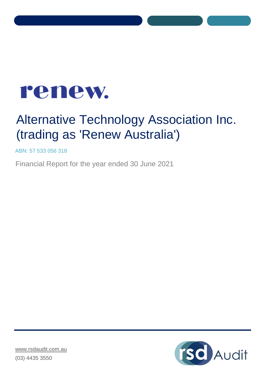

# Alternative Technology Association Inc. (trading as 'Renew Australia')

ABN: 57 533 056 318

Financial Report for the year ended 30 June 2021

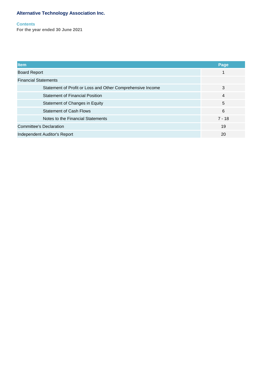### **Contents**

**For the year ended 30 June 2021**

| <b>Item</b>                                                | Page     |
|------------------------------------------------------------|----------|
| <b>Board Report</b>                                        |          |
| <b>Financial Statements</b>                                |          |
| Statement of Profit or Loss and Other Comprehensive Income | 3        |
| <b>Statement of Financial Position</b>                     | 4        |
| Statement of Changes in Equity                             | 5        |
| <b>Statement of Cash Flows</b>                             | 6        |
| Notes to the Financial Statements                          | $7 - 18$ |
| <b>Committee's Declaration</b>                             | 19       |
| Independent Auditor's Report                               | 20       |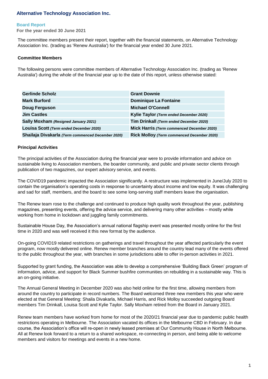#### **Board Report**

**For the year ended 30 June 2021**

The committee members present their report, together with the financial statements, on Alternative Technology Association Inc. (trading as 'Renew Australia') for the financial year ended 30 June 2021.

## **Committee Members**

The following persons were committee members of Alternative Technology Association Inc. (trading as 'Renew Australia') during the whole of the financial year up to the date of this report, unless otherwise stated:

| <b>Gerlinde Scholz</b>                            | <b>Grant Downie</b>                        |
|---------------------------------------------------|--------------------------------------------|
| <b>Mark Burford</b>                               | <b>Dominique La Fontaine</b>               |
| <b>Doug Ferguson</b>                              | <b>Michael O'Connell</b>                   |
| <b>Jim Castles</b>                                | Kylie Taylor (Term ended December 2020)    |
| Sally Moxham (Resigned January 2021)              | Tim Drinkall (Term ended December 2020)    |
| Louisa Scott (Term ended December 2020)           | Mick Harris (Term commenced December 2020) |
| Shailaja Divakarla (Term commenced December 2020) | Rick Molloy (Term commenced December 2020) |

#### **Principal Activities**

The principal activities of the Association during the financial year were to provide information and advice on sustainable living to Association members, the boarder community, and public and private sector clients through publication of two magazines, our expert advisory service, and events.

The COVID19 pandemic impacted the Association significantly. A restructure was implemented in June/July 2020 to contain the organisation's operating costs in response to uncertainty about income and low equity. It was challenging and sad for staff, members, and the board to see some long-serving staff members leave the organisation.

The Renew team rose to the challenge and continued to produce high quality work throughout the year, publishing magazines, presenting events, offering the advice service, and delivering many other activities – mostly while working from home in lockdown and juggling family commitments.

Sustainable House Day, the Association's annual national flagship event was presented mostly online for the first time in 2020 and was well received it this new format by the audience.

On-going COVID19 related restrictions on gatherings and travel throughout the year affected particularly the event program, now mostly delivered online. Renew member branches around the country lead many of the events offered to the public throughout the year, with branches in some jurisdictions able to offer in-person activities in 2021.

Supported by grant funding, the Association was able to develop a comprehensive 'Building Back Green' program of information, advice, and support for Black Summer bushfire communities on rebuilding in a sustainable way. This is an on-going initiative.

The Annual General Meeting in December 2020 was also held online for the first time, allowing members from around the country to participate in record numbers. The Board welcomed three new members this year who were elected at that General Meeting: Shaila Divakarla, Michael Harris, and Rick Molloy succeeded outgoing Board members Tim Drinkall, Louisa Scott and Kylie Taylor. Sally Moxham retired from the Board in January 2021.

Renew team members have worked from home for most of the 2020/21 financial year due to pandemic public health restrictions operating in Melbourne. The Association vacated its offices in the Melbourne CBD in February. In due course, the Association's office will re-open in newly leased premises at Our Community House in North Melbourne. All at Renew look forward to a return to a shared workspace, re-connecting in person, and being able to welcome members and visitors for meetings and events in a new home.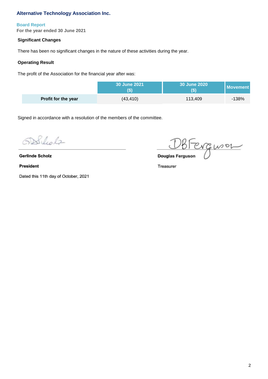# **Board Report**

**For the year ended 30 June 2021**

# **Significant Changes**

There has been no significant changes in the nature of these activities during the year.

# **Operating Result**

The profit of the Association for the financial year after was:

|                            | 30 June 2021 | <b>30 June 2020</b> | <b>Movement</b> |
|----------------------------|--------------|---------------------|-----------------|
| <b>Profit for the year</b> | (43, 410)    | 113,409             | $-138%$         |

Signed in accordance with a resolution of the members of the committee.

508 leds

Dated this 11th day of October, 2021

**GERENCE DOUGLES**<br> **Gerlinde Scholz**<br> **Gerlinde Scholz** 

**2**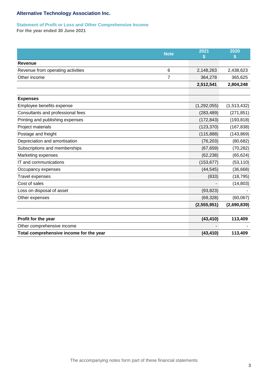# **Statement of Profit or Loss and Other Comprehensive Income**

**For the year ended 30 June 2021**

|                                         | <b>Note</b> | 2021<br>\$    | 2020<br>S   |
|-----------------------------------------|-------------|---------------|-------------|
| <b>Revenue</b>                          |             |               |             |
| Revenue from operating activities       | 6           | 2,148,263     | 2,438,623   |
| Other income                            | 7           | 364,278       | 365,625     |
|                                         |             | 2,512,541     | 2,804,248   |
|                                         |             |               |             |
| <b>Expenses</b>                         |             |               |             |
| Employee benefits expense               |             | (1, 292, 055) | (1,513,432) |
| Consultants and professional fees       |             | (283, 489)    | (271, 851)  |
| Printing and publishing expenses        |             | (172, 843)    | (193, 818)  |
| Project materials                       |             | (123, 370)    | (167, 838)  |
| Postage and freight                     |             | (115, 888)    | (143, 869)  |
| Depreciation and amortisation           |             | (76, 203)     | (80, 682)   |
| Subscriptions and memberships           |             | (67, 659)     | (70, 282)   |
| Marketing expenses                      |             | (62, 238)     | (65, 624)   |
| IT and communications                   |             | (153, 677)    | (53, 110)   |
| Occupancy expenses                      |             | (44, 545)     | (36, 668)   |
| Travel expenses                         |             | (833)         | (18, 795)   |
| Cost of sales                           |             |               | (14, 803)   |
| Loss on disposal of asset               |             | (93, 823)     |             |
| Other expenses                          |             | (69, 328)     | (60,067)    |
|                                         |             | (2,555,951)   | (2,690,839) |
| Profit for the year                     |             | (43, 410)     | 113,409     |
| Other comprehensive income              |             |               |             |
| Total comprehensive income for the year |             | (43, 410)     | 113,409     |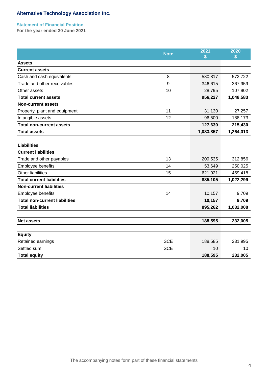# **Statement of Financial Position**

**For the year ended 30 June 2021**

|                                      | <b>Note</b> | 2021<br>\$ | 2020      |
|--------------------------------------|-------------|------------|-----------|
| <b>Assets</b>                        |             |            |           |
| <b>Current assets</b>                |             |            |           |
| Cash and cash equivalents            | 8           | 580,817    | 572,722   |
| Trade and other receivables          | 9           | 346,615    | 367,959   |
| Other assets                         | 10          | 28,795     | 107,902   |
| <b>Total current assets</b>          |             | 956,227    | 1,048,583 |
| <b>Non-current assets</b>            |             |            |           |
| Property, plant and equipment        | 11          | 31,130     | 27,257    |
| Intangible assets                    | 12          | 96,500     | 188,173   |
| <b>Total non-current assets</b>      |             | 127,630    | 215,430   |
| <b>Total assets</b>                  |             | 1,083,857  | 1,264,013 |
|                                      |             |            |           |
| <b>Liabilities</b>                   |             |            |           |
| <b>Current liabilities</b>           |             |            |           |
| Trade and other payables             | 13          | 209,535    | 312,856   |
| Employee benefits                    | 14          | 53,649     | 250,025   |
| <b>Other liabilities</b>             | 15          | 621,921    | 459,418   |
| <b>Total current liabilities</b>     |             | 885,105    | 1,022,299 |
| <b>Non-current liabilities</b>       |             |            |           |
| Employee benefits                    | 14          | 10,157     | 9,709     |
| <b>Total non-current liabilities</b> |             | 10,157     | 9,709     |
| <b>Total liabilities</b>             |             | 895,262    | 1,032,008 |
|                                      |             |            |           |
| <b>Net assets</b>                    |             | 188,595    | 232,005   |
|                                      |             |            |           |
| <b>Equity</b>                        |             |            |           |
| Retained earnings                    | <b>SCE</b>  | 188,585    | 231,995   |
| Settled sum                          | <b>SCE</b>  | 10         | 10        |
| <b>Total equity</b>                  |             | 188,595    | 232,005   |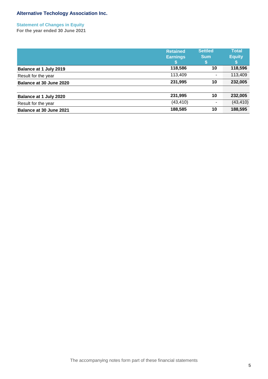**Statement of Changes in Equity For the year ended 30 June 2021**

|                         | <b>Retained</b><br><b>Earnings</b> | <b>Settled</b><br><b>Sum</b><br>PD. | <b>Total</b><br><b>Equity</b> |
|-------------------------|------------------------------------|-------------------------------------|-------------------------------|
| Balance at 1 July 2019  | 118,586                            | 10                                  | 118,596                       |
| Result for the year     | 113,409                            | ۰                                   | 113,409                       |
| Balance at 30 June 2020 | 231,995                            | 10                                  | 232,005                       |
| Balance at 1 July 2020  | 231,995                            | 10                                  | 232,005                       |
| Result for the year     | (43, 410)                          | ٠.                                  | (43, 410)                     |
| Balance at 30 June 2021 | 188,585                            | 10                                  | 188,595                       |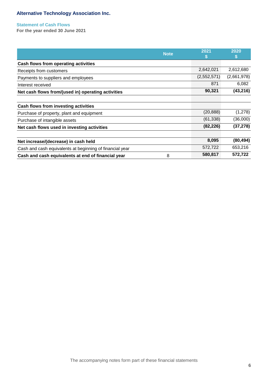### **Statement of Cash Flows**

**For the year ended 30 June 2021**

| <b>Note</b>                                              | 2021<br>S   | 2020<br>S   |
|----------------------------------------------------------|-------------|-------------|
| Cash flows from operating activities                     |             |             |
| Receipts from customers                                  | 2,642,021   | 2,612,680   |
| Payments to suppliers and employees                      | (2,552,571) | (2,661,978) |
| Interest received                                        | 871         | 6,082       |
| Net cash flows from/(used in) operating activities       | 90,321      | (43, 216)   |
|                                                          |             |             |
| Cash flows from investing activities                     |             |             |
| Purchase of property, plant and equipment                | (20, 888)   | (1,278)     |
| Purchase of intangible assets                            | (61, 338)   | (36,000)    |
| Net cash flows used in investing activities              | (82, 226)   | (37, 278)   |
| Net increase/(decrease) in cash held                     | 8,095       | (80, 494)   |
| Cash and cash equivalents at beginning of financial year | 572,722     | 653,216     |
| 8<br>Cash and cash equivalents at end of financial year  | 580,817     | 572,722     |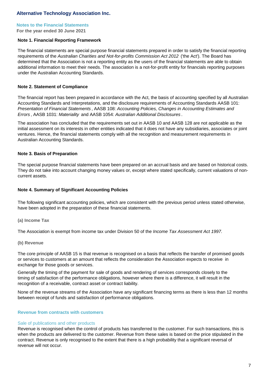#### **Notes to the Financial Statements**

**For the year ended 30 June 2021**

#### **Note 1. Financial Reporting Framework**

The financial statements are special purpose financial statements prepared in order to satisfy the financial reporting requirements of the *Australian Charities and Not-for-profits Commission Act 2012* ('the Act'). The Board has determined that the Association is not a reporting entity as the users of the financial statements are able to obtain additional information to meet their needs. The association is a not-for-profit entity for financials reporting purposes under the Australian Accounting Standards.

## **Note 2. Statement of Compliance**

The financial report has been prepared in accordance with the Act, the basis of accounting specified by all Australian Accounting Standards and Interpretations, and the disclosure requirements of Accounting Standards AASB 101: *Presentation of Financial Statements* , AASB 108: *Accounting Policies, Changes in Accounting Estimates and Errors* , AASB 1031: *Materiality* and AASB 1054: *Australian Additional Disclosures* .

The association has concluded that the requirements set out in AASB 10 and AASB 128 are not applicable as the initial assessment on its interests in other entities indicated that it does not have any subsidiaries, associates or joint ventures. Hence, the financial statements comply with all the recognition and measurement requirements in Australian Accounting Standards.

#### **Note 3. Basis of Preparation**

The special purpose financial statements have been prepared on an accrual basis and are based on historical costs. They do not take into account changing money values or, except where stated specifically, current valuations of noncurrent assets.

#### **Note 4. Summary of Significant Accounting Policies**

The following significant accounting policies, which are consistent with the previous period unless stated otherwise, have been adopted in the preparation of these financial statements.

#### **(a) Income Tax**

The Association is exempt from income tax under Division 50 of the *Income Tax Assessment Act 1997.*

#### **(b) Revenue**

The core principle of AASB 15 is that revenue is recognised on a basis that reflects the transfer of promised goods or services to customers at an amount that reflects the consideration the Association expects to receive in exchange for those goods or services.

Generally the timing of the payment for sale of goods and rendering of services corresponds closely to the timing of satisfaction of the performance obligations, however where there is a difference, it will result in the recognition of a receivable, contract asset or contract liability.

None of the revenue streams of the Association have any significant financing terms as there is less than 12 months between receipt of funds and satisfaction of performance obligations.

#### **Revenue from contracts with customers**

#### Sale of publications and other products

Revenue is recognised when the control of products has transferred to the customer. For such transactions, this is when the products are delivered to the customer. Revenue from these sales is based on the price stipulated in the contract. Revenue is only recognised to the extent that there is a high probability that a significant reversal of revenue will not occur.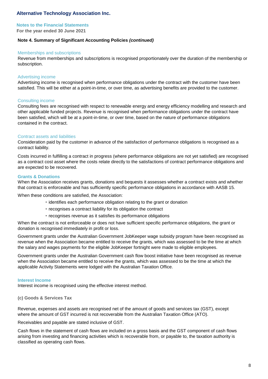#### **Notes to the Financial Statements**

**For the year ended 30 June 2021**

# **Note 4. Summary of Significant Accounting Policies** *(continued)*

#### Memberships and subscriptions

Revenue from memberships and subscriptions is recognised proportionately over the duration of the membership or subscription.

#### Advertising income

Advertising income is recognised when performance obligations under the contract with the customer have been satisfied. This will be either at a point-in-time, or over time, as advertising benefits are provided to the customer.

#### Consulting income

Consulting fees are recognised with respect to renewable energy and energy efficiency modelling and research and other applicable funded projects. Revenue is recognised when performance obligations under the contract have been satisfied, which will be at a point-in-time, or over time, based on the nature of performance obligations contained in the contract.

#### Contract assets and liabilities

Consideration paid by the customer in advance of the satisfaction of performance obligations is recognised as a contract liability.

Costs incurred in fulfilling a contract in progress (where performance obligations are not yet satisfied) are recognised as a contract cost asset where the costs relate directly to the satisfactions of contract performance obligations and are expected to be recovered.

#### **Grants & Donations**

When the Association receives grants, donations and bequests it assesses whether a contract exists and whether that contract is enforceable and has sufficiently specific performance obligations in accordance with AASB 15.

When these conditions are satisfied, the Association:

- identifies each performance obligation relating to the grant or donation
- recognises a contract liability for its obligation the contract
- recognises revenue as it satisfies its performance obligations

When the contract is not enforceable or does not have sufficient specific performance obligations, the grant or donation is recognised immediately in profit or loss.

Government grants under the Australian Government JobKeeper wage subsidy program have been recognised as revenue when the Association became entitled to receive the grants, which was assessed to be the time at which the salary and wages payments for the eligible JobKeeper fortnight were made to eligible employees.

Government grants under the Australian Government cash flow boost initiative have been recognised as revenue when the Association became entitled to receive the grants, which was assessed to be the time at which the applicable Activity Statements were lodged with the Australian Taxation Office.

#### **Interest Income**

Interest income is recognised using the effective interest method.

#### **(c) Goods & Services Tax**

Revenue, expenses and assets are recognised net of the amount of goods and services tax (GST), except where the amount of GST incurred is not recoverable from the Australian Taxation Office (ATO).

Receivables and payable are stated inclusive of GST.

Cash flows in the statement of cash flows are included on a gross basis and the GST component of cash flows arising from investing and financing activities which is recoverable from, or payable to, the taxation authority is classified as operating cash flows.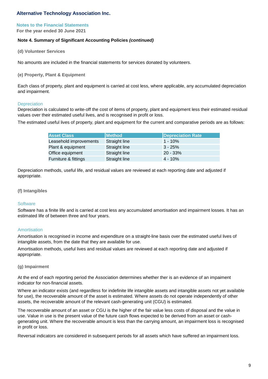# **Notes to the Financial Statements**

**For the year ended 30 June 2021**

## **Note 4. Summary of Significant Accounting Policies** *(continued)*

**(d) Volunteer Services**

No amounts are included in the financial statements for services donated by volunteers.

#### **(e) Property, Plant & Equipment**

Each class of property, plant and equipment is carried at cost less, where applicable, any accumulated depreciation and impairment.

#### **Depreciation**

Depreciation is calculated to write-off the cost of items of property, plant and equipment less their estimated residual values over their estimated useful lives, and is recognised in profit or loss.

The estimated useful lives of property, plant and equipment for the current and comparative periods are as follows:

| <b>Asset Class</b>     | <b>Method</b>        | <b>Depreciation Rate</b> |
|------------------------|----------------------|--------------------------|
| Leasehold improvements | <b>Straight line</b> | $1 - 10%$                |
| Plant & equipment      | <b>Straight line</b> | $3 - 25%$                |
| Office equipment       | <b>Straight line</b> | 20 - 33%                 |
| Furniture & fittings   | Straight line        | 4 - 10%                  |

Depreciation methods, useful life, and residual values are reviewed at each reporting date and adjusted if appropriate.

#### **(f) Intangibles**

#### **Software**

Software has a finite life and is carried at cost less any accumulated amortisation and impairment losses. It has an estimated life of between three and four years.

#### Amortisation

Amortisation is recognised in income and expenditure on a straight-line basis over the estimated useful lives of intangible assets, from the date that they are available for use.

Amortisation methods, useful lives and residual values are reviewed at each reporting date and adjusted if appropriate.

#### **(g) Impairment**

At the end of each reporting period the Association determines whether ther is an evidence of an impaiment indicator for non-financial assets.

Where an indicator exists (and regardless for indefinite life intangible assets and intangible assets not yet available for use), the recoverable amount of the asset is estimated. Where assets do not operate independently of other assets, the recoverable amount of the relevant cash-generating unit (CGU) is estimated.

The recoverable amount of an asset or CGU is the higher of the fair value less costs of disposal and the value in use. Value in use is the present value of the future cash flows expected to be derived from an asset or cashgenerating unit. Where the recoverable amount is less than the carrying amount, an impairment loss is recognised in profit or loss.

Reversal indicators are considered in subsequent periods for all assets which have suffered an impairment loss.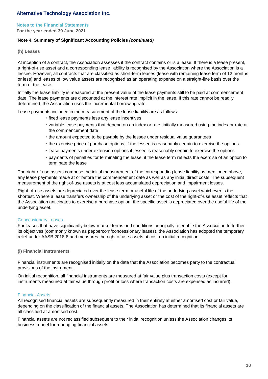# **Notes to the Financial Statements**

**For the year ended 30 June 2021**

## **Note 4. Summary of Significant Accounting Policies** *(continued)*

**(h) Leases**

At inception of a contract, the Association assesses if the contract contains or is a lease. If there is a lease present, a right-of-use asset and a corresponding lease liability is recognised by the Association where the Association is a lessee. However, all contracts that are classified as short-term leases (lease with remaining lease term of 12 months or less) and leases of low value assets are recognised as an operating expense on a straight-line basis over the term of the lease.

Initially the lease liability is measured at the present value of the lease payments still to be paid at commencement date. The lease payments are discounted at the interest rate implicit in the lease. If this rate cannot be readily determined, the Association uses the incremental borrowing rate.

Lease payments included in the measurement of the lease liability are as follows:

- fixed lease payments less any lease incentives
- variable lease payments that depend on an index or rate, initially measured using the index or rate at the commencement date
- the amount expected to be payable by the lessee under residual value guarantees
- the exercise price of purchase options, if the lessee is reasonably certain to exercise the options
- lease payments under extension options if lessee is reasonably certain to exercise the options
- payments of penalties for terminating the lease, if the lease term reflects the exercise of an option to terminate the lease

The right-of-use assets comprise the initial measurement of the corresponding lease liability as mentioned above, any lease payments made at or before the commencement date as well as any initial direct costs. The subsequent measurement of the right-of-use assets is at cost less accumulated depreciation and impairment losses.

Right-of-use assets are depreciated over the lease term or useful life of the underlying asset whichever is the shortest. Where a lease transfers ownership of the underlying asset or the cost of the right-of-use asset reflects that the Association anticipates to exercise a purchase option, the specific asset is depreciated over the useful life of the underlying asset.

#### Concessionary Leases

For leases that have significantly below-market terms and conditions principally to enable the Association to further its objectives (commonly known as peppercorn/concessionary leases), the Association has adopted the temporary relief under AASB 2018-8 and measures the right of use assets at cost on initial recognition.

#### **(i) Financial Instruments**

Financial instruments are recognised initially on the date that the Association becomes party to the contractual provisions of the instrument.

On initial recognition, all financial instruments are measured at fair value plus transaction costs (except for instruments measured at fair value through profit or loss where transaction costs are expensed as incurred).

#### Financial Assets

All recognised financial assets are subsequently measured in their entirety at either amortised cost or fair value, depending on the classification of the financial assets. The Association has determined that its financial assets are all classified at amortised cost.

Financial assets are not reclassified subsequent to their initial recognition unless the Association changes its business model for managing financial assets.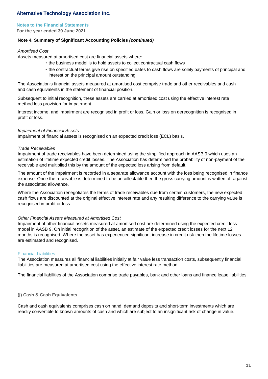#### **Notes to the Financial Statements**

**For the year ended 30 June 2021**

#### **Note 4. Summary of Significant Accounting Policies** *(continued)*

#### *Amortised Cost*

Assets measured at amortised cost are financial assets where:

- the business model is to hold assets to collect contractual cash flows
- the contractual terms give rise on specified dates to cash flows are solely payments of principal and interest on the principal amount outstanding

The Association's financial assets measured at amortised cost comprise trade and other receivables and cash and cash equivalents in the statement of financial position.

Subsequent to initial recognition, these assets are carried at amortised cost using the effective interest rate method less provision for impairment.

Interest income, and impairment are recognised in profit or loss. Gain or loss on derecognition is recognised in profit or loss.

#### *Impairment of Financial Assets*

Impairment of financial assets is recognised on an expected credit loss (ECL) basis.

#### *Trade Receivables*

Impairment of trade receivables have been determined using the simplified approach in AASB 9 which uses an estimation of lifetime expected credit losses. The Association has determined the probability of non-payment of the receivable and multiplied this by the amount of the expected loss arising from default.

The amount of the impairment is recorded in a separate allowance account with the loss being recognised in finance expense. Once the receivable is determined to be uncollectable then the gross carrying amount is written off against the associated allowance.

Where the Association renegotiates the terms of trade receivables due from certain customers, the new expected cash flows are discounted at the original effective interest rate and any resulting difference to the carrying value is recognised in profit or loss.

#### *Other Financial Assets Measured at Amortised Cost*

Impairment of other financial assets measured at amortised cost are determined using the expected credit loss model in AASB 9. On initial recognition of the asset, an estimate of the expected credit losses for the next 12 months is recognised. Where the asset has experienced significant increase in credit risk then the lifetime losses are estimated and recognised.

#### Financial Liabilities

The Association measures all financial liabilities initially at fair value less transaction costs, subsequently financial liabilities are measured at amortised cost using the effective interest rate method.

The financial liabilities of the Association comprise trade payables, bank and other loans and finance lease liabilities.

#### **(j) Cash & Cash Equivalents**

Cash and cash equivalents comprises cash on hand, demand deposits and short-term investments which are readily convertible to known amounts of cash and which are subject to an insignificant risk of change in value.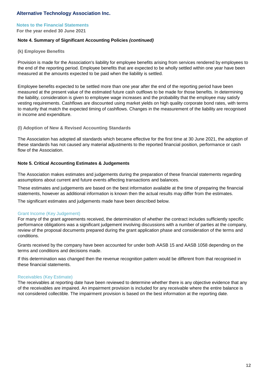# **Notes to the Financial Statements**

**For the year ended 30 June 2021**

## **Note 4. Summary of Significant Accounting Policies** *(continued)*

#### **(k) Employee Benefits**

Provision is made for the Association's liability for employee benefits arising from services rendered by employees to the end of the reporting period. Employee benefits that are expected to be wholly settled within one year have been measured at the amounts expected to be paid when the liability is settled.

Employee benefits expected to be settled more than one year after the end of the reporting period have been measured at the present value of the estimated future cash outflows to be made for those benefits. In determining the liability, consideration is given to employee wage increases and the probability that the employee may satisfy vesting requirements. Cashflows are discounted using market yields on high quality corporate bond rates, with terms to maturity that match the expected timing of cashflows. Changes in the measurement of the liability are recognised in income and expenditure.

#### **(l) Adoption of New & Revised Accounting Standards**

The Association has adopted all standards which became effective for the first time at 30 June 2021, the adoption of these standards has not caused any material adjustments to the reported financial position, performance or cash flow of the Association.

#### **Note 5. Critical Accounting Estimates & Judgements**

The Association makes estimates and judgements during the preparation of these financial statements regarding assumptions about current and future events affecting transactions and balances.

These estimates and judgements are based on the best information available at the time of preparing the financial statements, however as additional information is known then the actual results may differ from the estimates.

The significant estimates and judgements made have been described below.

#### Grant Income (Key Judgement)

For many of the grant agreements received, the determination of whether the contract includes sufficiently specific performance obligations was a significant judgement involving discussions with a number of parties at the company, review of the proposal documents prepared during the grant application phase and consideration of the terms and conditions.

Grants received by the company have been accounted for under both AASB 15 and AASB 1058 depending on the terms and conditions and decisions made.

If this determination was changed then the revenue recognition pattern would be different from that recognised in these financial statements.

#### Receivables (Key Estimate)

The receivables at reporting date have been reviewed to determine whether there is any objective evidence that any of the receivables are impaired. An impairment provision is included for any receivable where the entire balance is not considered collectible. The impairment provision is based on the best information at the reporting date.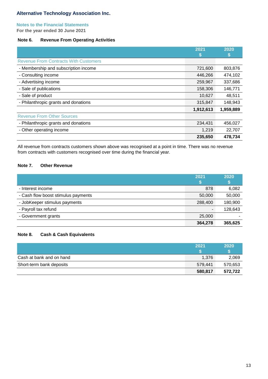### **Notes to the Financial Statements**

**For the year ended 30 June 2021**

## **Note 6. Revenue From Operating Activities**

|                                              | 2021      | 2020      |
|----------------------------------------------|-----------|-----------|
|                                              | h.        | Ð         |
| <b>Revenue From Contracts With Customers</b> |           |           |
| - Membership and subscription income         | 721,600   | 803,876   |
| - Consulting income                          | 446,266   | 474,102   |
| - Advertising income                         | 259,967   | 337,686   |
| - Sale of publications                       | 158,306   | 146,771   |
| - Sale of product                            | 10,627    | 48,511    |
| - Philanthropic grants and donations         | 315,847   | 148,943   |
|                                              | 1,912,613 | 1,959,889 |
| <b>Revenue From Other Sources</b>            |           |           |
| - Philanthropic grants and donations         | 234,431   | 456,027   |
| - Other operating income                     | 1,219     | 22,707    |
|                                              | 235,650   | 478,734   |

All revenue from contracts customers shown above was recognised at a point in time. There was no revenue from contracts with customers recognised over time during the financial year.

# **Note 7. Other Revenue**

|                                     | 2021    | 2020    |
|-------------------------------------|---------|---------|
|                                     |         |         |
| - Interest income                   | 878     | 6,082   |
| - Cash flow boost stimulus payments | 50,000  | 50,000  |
| - JobKeeper stimulus payments       | 288,400 | 180,900 |
| - Payroll tax refund                |         | 128,643 |
| - Government grants                 | 25,000  |         |
|                                     | 364,278 | 365,625 |

# **Note 8. Cash & Cash Equivalents**

|                          | 2021    | 2020    |
|--------------------------|---------|---------|
|                          |         |         |
| Cash at bank and on hand | 1.376   | 2,069   |
| Short-term bank deposits | 579.441 | 570,653 |
|                          | 580,817 | 572.722 |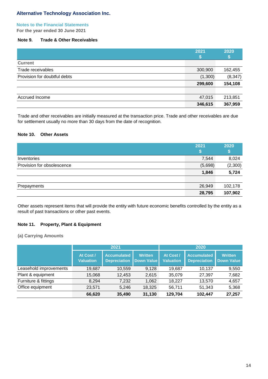# **Notes to the Financial Statements**

**For the year ended 30 June 2021**

# **Note 9. Trade & Other Receivables**

|                              | 2021    | 2020     |
|------------------------------|---------|----------|
| <b>Current</b>               |         |          |
| Trade receivables            | 300,900 | 162,455  |
| Provision for doubtful debts | (1,300) | (8, 347) |
|                              | 299,600 | 154,108  |
|                              |         |          |
| Accrued Income               | 47,015  | 213,851  |
|                              | 346,615 | 367,959  |

Trade and other receivables are initially measured at the transaction price. Trade and other receivables are due for settlement usually no more than 30 days from the date of recognition.

#### **Note 10. Other Assets**

|                            | 2021<br>Ð | 2020<br>Đ |
|----------------------------|-----------|-----------|
| Inventories                | 7,544     | 8,024     |
| Provision for obsolescence | (5,698)   | (2,300)   |
|                            | 1,846     | 5,724     |
|                            |           |           |
| Prepayments                | 26,949    | 102,178   |
|                            | 28,795    | 107,902   |

Other assets represent items that will provide the entity with future economic benefits controlled by the entity as a result of past transactions or other past events.

# **Note 11. Property, Plant & Equipment**

**(a) Carrying Amounts**

|                        |                               | 2021                                      |                                     | 2020                          |                                           |                                     |
|------------------------|-------------------------------|-------------------------------------------|-------------------------------------|-------------------------------|-------------------------------------------|-------------------------------------|
|                        | At Cost /<br><b>Valuation</b> | <b>Accumulated</b><br><b>Depreciation</b> | <b>Written</b><br><b>Down Value</b> | At Cost /<br><b>Valuation</b> | <b>Accumulated</b><br><b>Depreciation</b> | <b>Written</b><br><b>Down Value</b> |
| Leasehold improvements | 19,687                        | 10,559                                    | 9.128                               | 19,687                        | 10,137                                    | 9,550                               |
| Plant & equipment      | 15,068                        | 12,453                                    | 2,615                               | 35,079                        | 27,397                                    | 7,682                               |
| Furniture & fittings   | 8,294                         | 7,232                                     | 1,062                               | 18,227                        | 13,570                                    | 4,657                               |
| Office equipment       | 23,571                        | 5,246                                     | 18,325                              | 56,711                        | 51,343                                    | 5,368                               |
|                        | 66,620                        | 35,490                                    | 31,130                              | 129,704                       | 102,447                                   | 27,257                              |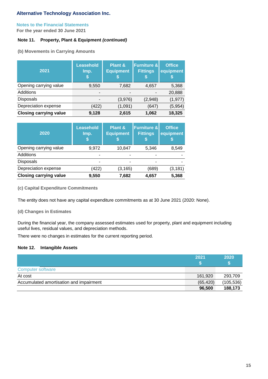# **Notes to the Financial Statements**

**For the year ended 30 June 2021**

# **Note 11. Property, Plant & Equipment** *(continued)*

**(b) Movements in Carrying Amounts**

| 2021                          | <b>Leasehold</b><br>Imp.<br>S | <b>Plant &amp;</b><br><b>Equipment</b> | <b>Furniture &amp;</b><br><b>Fittings</b><br>'S | <b>Office</b><br>equipment<br>æ |
|-------------------------------|-------------------------------|----------------------------------------|-------------------------------------------------|---------------------------------|
| Opening carrying value        | 9,550                         | 7,682                                  | 4,657                                           | 5,368                           |
| Additions                     | $\overline{\phantom{0}}$      |                                        |                                                 | 20,888                          |
| <b>Disposals</b>              |                               | (3,976)                                | (2,948)                                         | (1, 977)                        |
| Depreciation expense          | (422)                         | (1,091)                                | (647)                                           | (5,954)                         |
| <b>Closing carrying value</b> | 9,128                         | 2,615                                  | 1,062                                           | 18,325                          |

| 2020                          | <b>Leasehold</b><br>Imp. | <b>Plant &amp;</b><br><b>Equipment</b> | <b>Furniture &amp;</b><br><b>Fittings</b> | <b>Office</b><br>equipment |
|-------------------------------|--------------------------|----------------------------------------|-------------------------------------------|----------------------------|
| Opening carrying value        | 9,972                    | 10,847                                 | 5,346                                     | 8,549                      |
| <b>Additions</b>              |                          |                                        |                                           |                            |
| <b>Disposals</b>              |                          |                                        |                                           |                            |
| Depreciation expense          | (422)                    | (3, 165)                               | (689)                                     | (3, 181)                   |
| <b>Closing carrying value</b> | 9,550                    | 7,682                                  | 4,657                                     | 5,368                      |

**(c) Capital Expenditure Commitments**

The entity does not have any capital expenditure commitments as at 30 June 2021 (2020: None).

**(d) Changes in Estimates**

During the financial year, the company assessed estimates used for property, plant and equipment including useful lives, residual values, and depreciation methods.

There were no changes in estimates for the current reporting period.

# **Note 12. Intangible Assets**

|                                         | 2021      | 2020       |
|-----------------------------------------|-----------|------------|
| <b>Computer software</b>                |           |            |
| At cost                                 | 161,920   | 293,709    |
| Accumulated amortisation and impairment | (65, 420) | (105, 536) |
|                                         | 96,500    | 188,173    |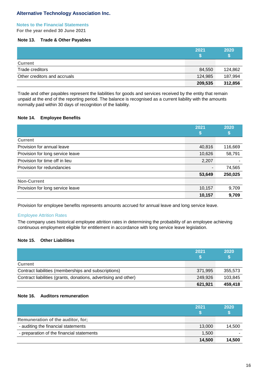# **Notes to the Financial Statements**

**For the year ended 30 June 2021**

## **Note 13. Trade & Other Payables**

|                              | 2021    | 2020    |
|------------------------------|---------|---------|
| <b>Current</b>               |         |         |
| Trade creditors              | 84,550  | 124,862 |
| Other creditors and accruals | 124,985 | 187,994 |
|                              | 209,535 | 312,856 |

Trade and other payables represent the liabilities for goods and services received by the entity that remain unpaid at the end of the reporting period. The balance is recognised as a current liability with the amounts normally paid within 30 days of recognition of the liability.

# **Note 14. Employee Benefits**

|                                  | 2021   | 2020    |
|----------------------------------|--------|---------|
|                                  | D      | Φ       |
| <b>Current</b>                   |        |         |
| Provision for annual leave       | 40,816 | 116,669 |
| Provision for long service leave | 10,626 | 58,791  |
| Provision for time off in lieu   | 2,207  |         |
| Provision for redundancies       |        | 74,565  |
|                                  | 53,649 | 250,025 |
| <b>Non-Current</b>               |        |         |
| Provision for long service leave | 10,157 | 9,709   |
|                                  | 10,157 | 9,709   |

Provision for employee benefits represents amounts accrued for annual leave and long service leave.

# Employee Attrition Rates

The company uses historical employee attrition rates in determining the probability of an employee achieving continuous employment eligible for entitlement in accordance with long service leave legislation.

# **Note 15. Other Liabilities**

|                                                                 | 2021    | 2020    |
|-----------------------------------------------------------------|---------|---------|
| <b>Current</b>                                                  |         |         |
| Contract liabilities (memberships and subscriptions)            | 371.995 | 355,573 |
| Contract liabilities (grants, donations, advertising and other) | 249.926 | 103.845 |
|                                                                 | 621,921 | 459,418 |

# **Note 16. Auditors remuneration**

|                                           | 2021   | 2020<br>P٥ |
|-------------------------------------------|--------|------------|
| Remuneration of the auditor, for;         |        |            |
| - auditing the financial statements       | 13,000 | 14,500     |
| - preparation of the financial statements | 1,500  |            |
|                                           | 14,500 | 14.500     |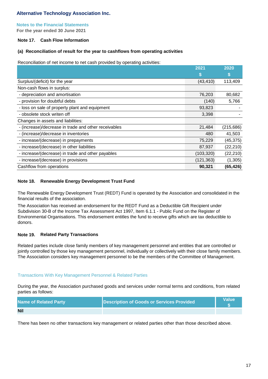# **Notes to the Financial Statements**

**For the year ended 30 June 2021**

# **Note 17. Cash Flow Information**

# **(a) Reconciliation of result for the year to cashflows from operating activities**

Reconciliation of net income to net cash provided by operating activities:

|                                                      | 2021       | 2020       |
|------------------------------------------------------|------------|------------|
|                                                      | S          | S          |
| Surplus/(deficit) for the year                       | (43, 410)  | 113,409    |
| Non-cash flows in surplus:                           |            |            |
| - depreciation and amortisation                      | 76,203     | 80,682     |
| - provision for doubtful debts                       | (140)      | 5,766      |
| - loss on sale of property plant and equipment       | 93,823     |            |
| - obsolete stock writen off                          | 3,398      |            |
| Changes in assets and liabilities:                   |            |            |
| - (increase)/decrease in trade and other receivables | 21,484     | (215, 686) |
| - (increase)/decrease in inventories                 | 480        | 41,503     |
| - increase/(decrease) in prepayments                 | 75,229     | (45, 375)  |
| - increase/(decrease) in other liabilities           | 87,937     | (22, 210)  |
| - increase/(decrease) in trade and other payables    | (103, 320) | (22, 210)  |
| - increase/(decrease) in provisions                  | (121, 363) | (1, 305)   |
| Cashflow from operations                             | 90,321     | (65, 426)  |

# **Note 18. Renewable Energy Development Trust Fund**

The Renewable Energy Development Trust (REDT) Fund is operated by the Association and consolidated in the financial results of the association.

The Association has received an endorsement for the REDT Fund as a Deductible Gift Recipient under Subdivision 30-B of the Income Tax Assessment Act 1997, Item 6.1.1 - Public Fund on the Register of Environmental Organisations. This endorsement entitles the fund to receive gifts which are tax deductible to donors.

# **Note 19. Related Party Transactions**

Related parties include close family members of key management personnel and entities that are controlled or jointly controlled by those key management personnel, individually or collectively with their close family members. The Association considers key management personnel to be the members of the Committee of Management.

# Transactions With Key Management Personnel & Related Parties

During the year, the Association purchased goods and services under normal terms and conditions, from related parties as follows:

| <b>Name of Related Party</b> | Description of Goods or Services Provided | Value\ |
|------------------------------|-------------------------------------------|--------|
| <b>Nil</b>                   |                                           |        |

There has been no other transactions key management or related parties other than those described above.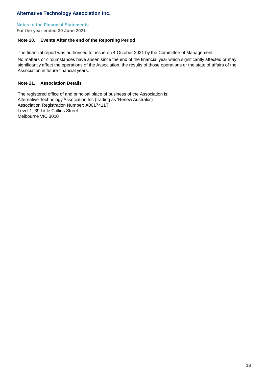## **Notes to the Financial Statements**

**For the year ended 30 June 2021**

# **Note 20. Events After the end of the Reporting Period**

The financial report was authorised for issue on 4 October 2021 by the Committee of Management.

No matters or circumstances have arisen since the end of the financial year which significantly affected or may significantly affect the operations of the Association, the results of those operations or the state of affairs of the Association in future financial years.

# **Note 21. Association Details**

The registered office of and principal place of business of the Association is: Alternative Technology Association Inc. (trading as 'Renew Australia') Association Registration Number: A0017411T Level 1, 39 Little Collins Street Melbourne VIC 3000